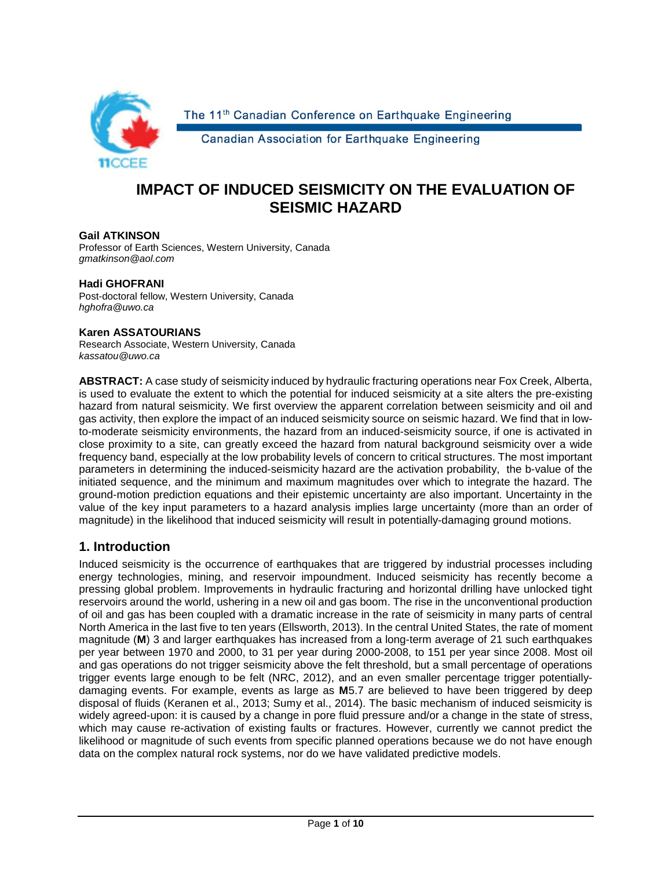

The 11<sup>th</sup> Canadian Conference on Earthquake Engineering

Canadian Association for Earthquake Engineering

# **IMPACT OF INDUCED SEISMICITY ON THE EVALUATION OF SEISMIC HAZARD**

#### **Gail ATKINSON**

Professor of Earth Sciences, Western University, Canada *gmatkinson@aol.com*

#### **Hadi GHOFRANI**

Post-doctoral fellow, Western University, Canada *hghofra@uwo.ca*

#### **Karen ASSATOURIANS**

Research Associate, Western University, Canada *kassatou@uwo.ca*

**ABSTRACT:** A case study of seismicity induced by hydraulic fracturing operations near Fox Creek, Alberta, is used to evaluate the extent to which the potential for induced seismicity at a site alters the pre-existing hazard from natural seismicity. We first overview the apparent correlation between seismicity and oil and gas activity, then explore the impact of an induced seismicity source on seismic hazard. We find that in lowto-moderate seismicity environments, the hazard from an induced-seismicity source, if one is activated in close proximity to a site, can greatly exceed the hazard from natural background seismicity over a wide frequency band, especially at the low probability levels of concern to critical structures. The most important parameters in determining the induced-seismicity hazard are the activation probability, the b-value of the initiated sequence, and the minimum and maximum magnitudes over which to integrate the hazard. The ground-motion prediction equations and their epistemic uncertainty are also important. Uncertainty in the value of the key input parameters to a hazard analysis implies large uncertainty (more than an order of magnitude) in the likelihood that induced seismicity will result in potentially-damaging ground motions.

### **1. Introduction**

Induced seismicity is the occurrence of earthquakes that are triggered by industrial processes including energy technologies, mining, and reservoir impoundment. Induced seismicity has recently become a pressing global problem. Improvements in hydraulic fracturing and horizontal drilling have unlocked tight reservoirs around the world, ushering in a new oil and gas boom. The rise in the unconventional production of oil and gas has been coupled with a dramatic increase in the rate of seismicity in many parts of central North America in the last five to ten years (Ellsworth, 2013). In the central United States, the rate of moment magnitude (**M**) 3 and larger earthquakes has increased from a long-term average of 21 such earthquakes per year between 1970 and 2000, to 31 per year during 2000-2008, to 151 per year since 2008. Most oil and gas operations do not trigger seismicity above the felt threshold, but a small percentage of operations trigger events large enough to be felt (NRC, 2012), and an even smaller percentage trigger potentiallydamaging events. For example, events as large as **M**5.7 are believed to have been triggered by deep disposal of fluids (Keranen et al., 2013; Sumy et al., 2014). The basic mechanism of induced seismicity is widely agreed-upon: it is caused by a change in pore fluid pressure and/or a change in the state of stress, which may cause re-activation of existing faults or fractures. However, currently we cannot predict the likelihood or magnitude of such events from specific planned operations because we do not have enough data on the complex natural rock systems, nor do we have validated predictive models.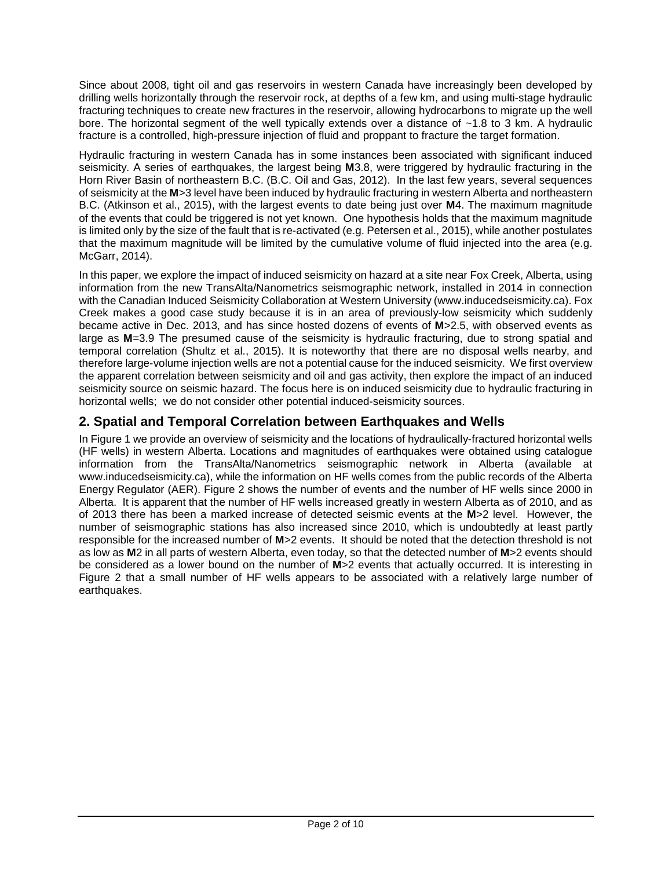Since about 2008, tight oil and gas reservoirs in western Canada have increasingly been developed by drilling wells horizontally through the reservoir rock, at depths of a few km, and using multi-stage hydraulic fracturing techniques to create new fractures in the reservoir, allowing hydrocarbons to migrate up the well bore. The horizontal segment of the well typically extends over a distance of ~1.8 to 3 km. A hydraulic fracture is a controlled, high-pressure injection of fluid and proppant to fracture the target formation.

Hydraulic fracturing in western Canada has in some instances been associated with significant induced seismicity. A series of earthquakes, the largest being **M**3.8, were triggered by hydraulic fracturing in the Horn River Basin of northeastern B.C. (B.C. Oil and Gas, 2012). In the last few years, several sequences of seismicity at the **M**>3 level have been induced by hydraulic fracturing in western Alberta and northeastern B.C. (Atkinson et al., 2015), with the largest events to date being just over **M**4. The maximum magnitude of the events that could be triggered is not yet known. One hypothesis holds that the maximum magnitude is limited only by the size of the fault that is re-activated (e.g. Petersen et al., 2015), while another postulates that the maximum magnitude will be limited by the cumulative volume of fluid injected into the area (e.g. McGarr, 2014).

In this paper, we explore the impact of induced seismicity on hazard at a site near Fox Creek, Alberta, using information from the new TransAlta/Nanometrics seismographic network, installed in 2014 in connection with the Canadian Induced Seismicity Collaboration at Western University (www.inducedseismicity.ca). Fox Creek makes a good case study because it is in an area of previously-low seismicity which suddenly became active in Dec. 2013, and has since hosted dozens of events of **M**>2.5, with observed events as large as **M**=3.9 The presumed cause of the seismicity is hydraulic fracturing, due to strong spatial and temporal correlation (Shultz et al., 2015). It is noteworthy that there are no disposal wells nearby, and therefore large-volume injection wells are not a potential cause for the induced seismicity. We first overview the apparent correlation between seismicity and oil and gas activity, then explore the impact of an induced seismicity source on seismic hazard. The focus here is on induced seismicity due to hydraulic fracturing in horizontal wells; we do not consider other potential induced-seismicity sources.

# **2. Spatial and Temporal Correlation between Earthquakes and Wells**

In Figure 1 we provide an overview of seismicity and the locations of hydraulically-fractured horizontal wells (HF wells) in western Alberta. Locations and magnitudes of earthquakes were obtained using catalogue information from the TransAlta/Nanometrics seismographic network in Alberta (available at www.inducedseismicity.ca), while the information on HF wells comes from the public records of the Alberta Energy Regulator (AER). Figure 2 shows the number of events and the number of HF wells since 2000 in Alberta. It is apparent that the number of HF wells increased greatly in western Alberta as of 2010, and as of 2013 there has been a marked increase of detected seismic events at the **M**>2 level. However, the number of seismographic stations has also increased since 2010, which is undoubtedly at least partly responsible for the increased number of **M**>2 events. It should be noted that the detection threshold is not as low as **M**2 in all parts of western Alberta, even today, so that the detected number of **M**>2 events should be considered as a lower bound on the number of **M**>2 events that actually occurred. It is interesting in Figure 2 that a small number of HF wells appears to be associated with a relatively large number of earthquakes.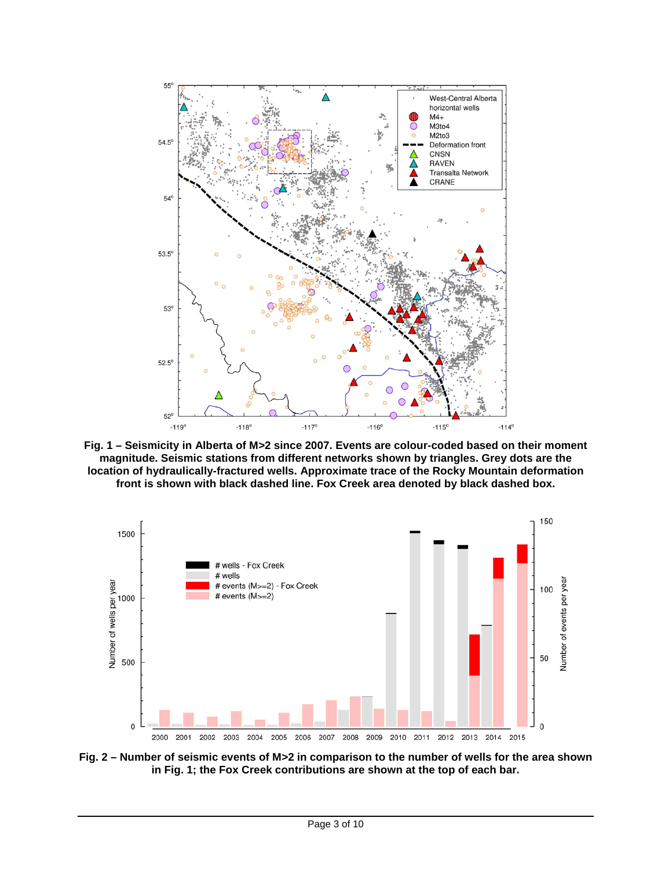

**Fig. 1 – Seismicity in Alberta of M>2 since 2007. Events are colour-coded based on their moment magnitude. Seismic stations from different networks shown by triangles. Grey dots are the location of hydraulically-fractured wells. Approximate trace of the Rocky Mountain deformation front is shown with black dashed line. Fox Creek area denoted by black dashed box.** 



**Fig. 2 – Number of seismic events of M>2 in comparison to the number of wells for the area shown in Fig. 1; the Fox Creek contributions are shown at the top of each bar.**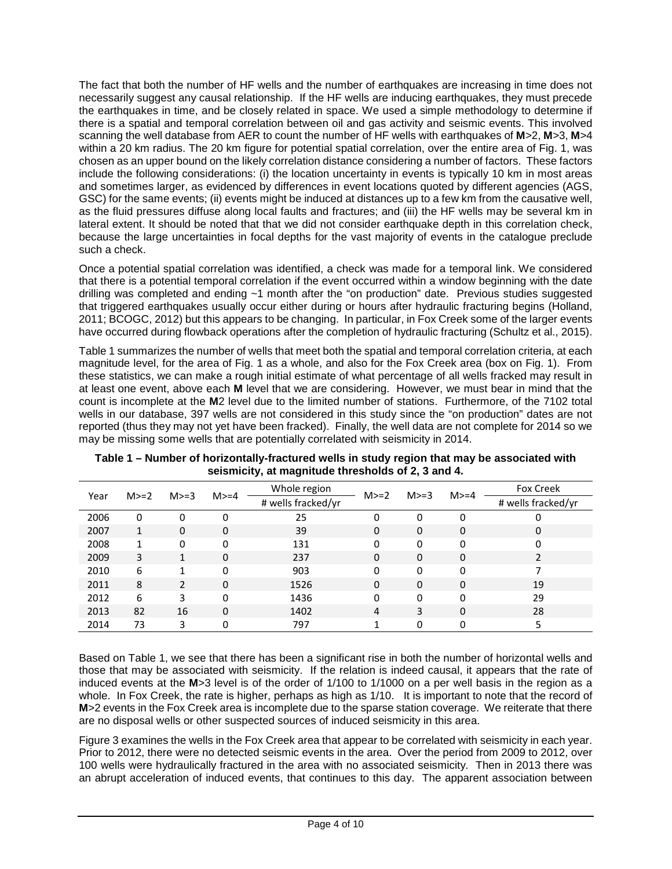The fact that both the number of HF wells and the number of earthquakes are increasing in time does not necessarily suggest any causal relationship. If the HF wells are inducing earthquakes, they must precede the earthquakes in time, and be closely related in space. We used a simple methodology to determine if there is a spatial and temporal correlation between oil and gas activity and seismic events. This involved scanning the well database from AER to count the number of HF wells with earthquakes of **M**>2, **M**>3, **M**>4 within a 20 km radius. The 20 km figure for potential spatial correlation, over the entire area of Fig. 1, was chosen as an upper bound on the likely correlation distance considering a number of factors. These factors include the following considerations: (i) the location uncertainty in events is typically 10 km in most areas and sometimes larger, as evidenced by differences in event locations quoted by different agencies (AGS, GSC) for the same events; (ii) events might be induced at distances up to a few km from the causative well, as the fluid pressures diffuse along local faults and fractures; and (iii) the HF wells may be several km in lateral extent. It should be noted that that we did not consider earthquake depth in this correlation check, because the large uncertainties in focal depths for the vast majority of events in the catalogue preclude such a check.

Once a potential spatial correlation was identified, a check was made for a temporal link. We considered that there is a potential temporal correlation if the event occurred within a window beginning with the date drilling was completed and ending ~1 month after the "on production" date. Previous studies suggested that triggered earthquakes usually occur either during or hours after hydraulic fracturing begins (Holland, 2011; BCOGC, 2012) but this appears to be changing. In particular, in Fox Creek some of the larger events have occurred during flowback operations after the completion of hydraulic fracturing (Schultz et al., 2015).

Table 1 summarizes the number of wells that meet both the spatial and temporal correlation criteria, at each magnitude level, for the area of Fig. 1 as a whole, and also for the Fox Creek area (box on Fig. 1). From these statistics, we can make a rough initial estimate of what percentage of all wells fracked may result in at least one event, above each **M** level that we are considering. However, we must bear in mind that the count is incomplete at the **M**2 level due to the limited number of stations. Furthermore, of the 7102 total wells in our database, 397 wells are not considered in this study since the "on production" dates are not reported (thus they may not yet have been fracked). Finally, the well data are not complete for 2014 so we may be missing some wells that are potentially correlated with seismicity in 2014.

| Year | $M>=2$ | $M>=3$        | $M>=4$   | Whole region       | $M>=2$   | $M>=3$ | $M>=4$      | <b>Fox Creek</b>         |
|------|--------|---------------|----------|--------------------|----------|--------|-------------|--------------------------|
|      |        |               |          | # wells fracked/yr |          |        |             | # wells fracked/yr       |
| 2006 | 0      | 0             | 0        | 25                 | 0        | 0      | 0           | O                        |
| 2007 | 1      | $\Omega$      | 0        | 39                 | 0        | 0      | $\mathbf 0$ | 0                        |
| 2008 |        | 0             | 0        | 131                | 0        | 0      | $\Omega$    | 0                        |
| 2009 | 3      | 1             | $\Omega$ | 237                | $\Omega$ | 0      | $\Omega$    | $\overline{\phantom{a}}$ |
| 2010 | 6      |               | O        | 903                | 0        | 0      | $\Omega$    |                          |
| 2011 | 8      | $\mathcal{L}$ | $\Omega$ | 1526               | $\Omega$ | 0      | $\Omega$    | 19                       |
| 2012 | 6      | 3             | 0        | 1436               | 0        | 0      | 0           | 29                       |
| 2013 | 82     | 16            | 0        | 1402               | 4        | 3      | $\Omega$    | 28                       |
| 2014 | 73     | 3             | 0        | 797                |          | 0      | 0           | 5                        |

**Table 1 – Number of horizontally-fractured wells in study region that may be associated with seismicity, at magnitude thresholds of 2, 3 and 4.**

Based on Table 1, we see that there has been a significant rise in both the number of horizontal wells and those that may be associated with seismicity. If the relation is indeed causal, it appears that the rate of induced events at the **M**>3 level is of the order of 1/100 to 1/1000 on a per well basis in the region as a whole. In Fox Creek, the rate is higher, perhaps as high as 1/10. It is important to note that the record of **M**>2 events in the Fox Creek area is incomplete due to the sparse station coverage. We reiterate that there are no disposal wells or other suspected sources of induced seismicity in this area.

Figure 3 examines the wells in the Fox Creek area that appear to be correlated with seismicity in each year. Prior to 2012, there were no detected seismic events in the area. Over the period from 2009 to 2012, over 100 wells were hydraulically fractured in the area with no associated seismicity. Then in 2013 there was an abrupt acceleration of induced events, that continues to this day. The apparent association between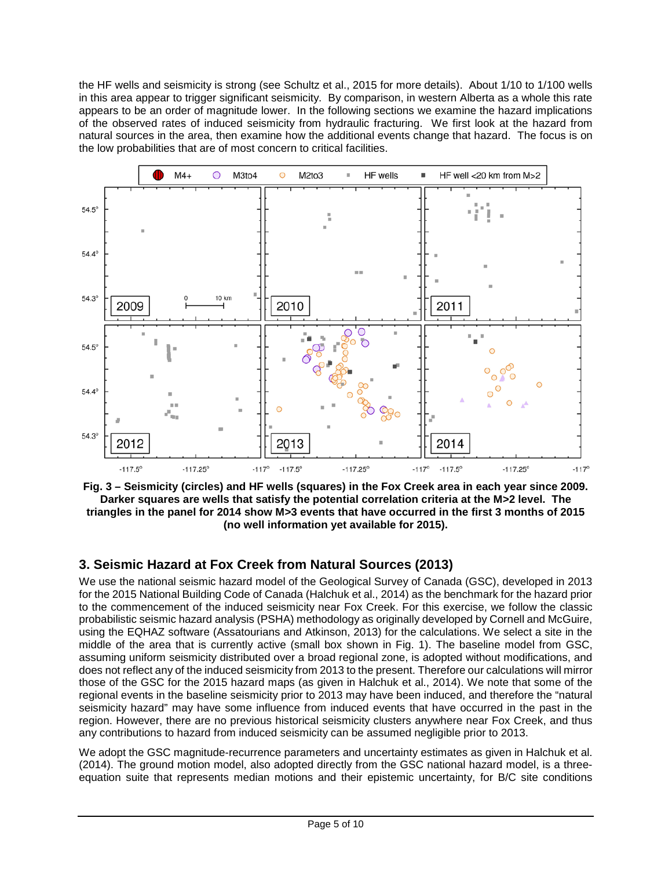the HF wells and seismicity is strong (see Schultz et al., 2015 for more details). About 1/10 to 1/100 wells in this area appear to trigger significant seismicity. By comparison, in western Alberta as a whole this rate appears to be an order of magnitude lower. In the following sections we examine the hazard implications of the observed rates of induced seismicity from hydraulic fracturing. We first look at the hazard from natural sources in the area, then examine how the additional events change that hazard. The focus is on the low probabilities that are of most concern to critical facilities.



**Fig. 3 – Seismicity (circles) and HF wells (squares) in the Fox Creek area in each year since 2009. Darker squares are wells that satisfy the potential correlation criteria at the M>2 level. The triangles in the panel for 2014 show M>3 events that have occurred in the first 3 months of 2015 (no well information yet available for 2015).**

# **3. Seismic Hazard at Fox Creek from Natural Sources (2013)**

We use the national seismic hazard model of the Geological Survey of Canada (GSC), developed in 2013 for the 2015 National Building Code of Canada (Halchuk et al., 2014) as the benchmark for the hazard prior to the commencement of the induced seismicity near Fox Creek. For this exercise, we follow the classic probabilistic seismic hazard analysis (PSHA) methodology as originally developed by Cornell and McGuire, using the EQHAZ software (Assatourians and Atkinson, 2013) for the calculations. We select a site in the middle of the area that is currently active (small box shown in Fig. 1). The baseline model from GSC, assuming uniform seismicity distributed over a broad regional zone, is adopted without modifications, and does not reflect any of the induced seismicity from 2013 to the present. Therefore our calculations will mirror those of the GSC for the 2015 hazard maps (as given in Halchuk et al., 2014). We note that some of the regional events in the baseline seismicity prior to 2013 may have been induced, and therefore the "natural seismicity hazard" may have some influence from induced events that have occurred in the past in the region. However, there are no previous historical seismicity clusters anywhere near Fox Creek, and thus any contributions to hazard from induced seismicity can be assumed negligible prior to 2013.

We adopt the GSC magnitude-recurrence parameters and uncertainty estimates as given in Halchuk et al. (2014). The ground motion model, also adopted directly from the GSC national hazard model, is a threeequation suite that represents median motions and their epistemic uncertainty, for B/C site conditions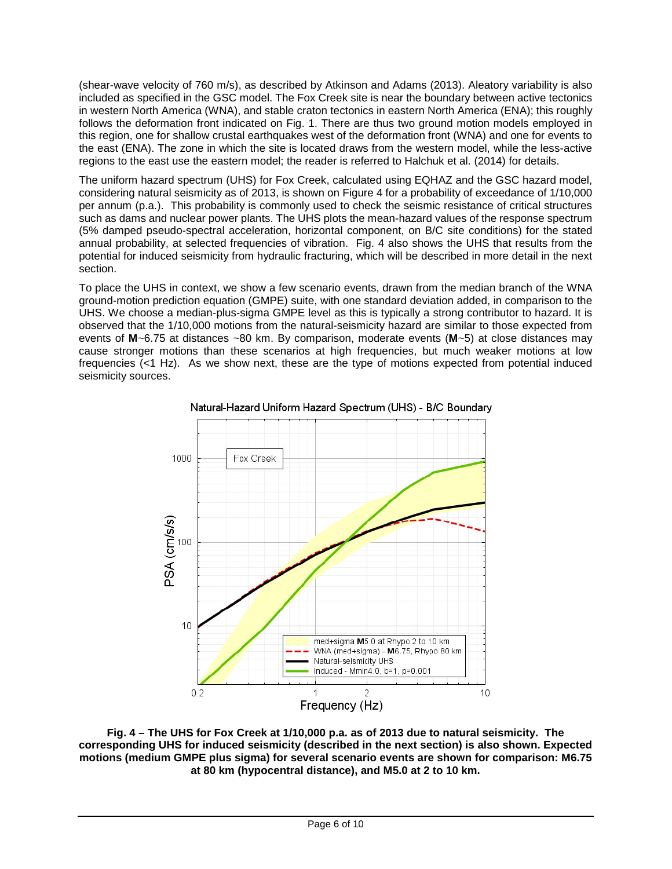(shear-wave velocity of 760 m/s), as described by Atkinson and Adams (2013). Aleatory variability is also included as specified in the GSC model. The Fox Creek site is near the boundary between active tectonics in western North America (WNA), and stable craton tectonics in eastern North America (ENA); this roughly follows the deformation front indicated on Fig. 1. There are thus two ground motion models employed in this region, one for shallow crustal earthquakes west of the deformation front (WNA) and one for events to the east (ENA). The zone in which the site is located draws from the western model, while the less-active regions to the east use the eastern model; the reader is referred to Halchuk et al. (2014) for details.

The uniform hazard spectrum (UHS) for Fox Creek, calculated using EQHAZ and the GSC hazard model, considering natural seismicity as of 2013, is shown on Figure 4 for a probability of exceedance of 1/10,000 per annum (p.a.). This probability is commonly used to check the seismic resistance of critical structures such as dams and nuclear power plants. The UHS plots the mean-hazard values of the response spectrum (5% damped pseudo-spectral acceleration, horizontal component, on B/C site conditions) for the stated annual probability, at selected frequencies of vibration. Fig. 4 also shows the UHS that results from the potential for induced seismicity from hydraulic fracturing, which will be described in more detail in the next section.

To place the UHS in context, we show a few scenario events, drawn from the median branch of the WNA ground-motion prediction equation (GMPE) suite, with one standard deviation added, in comparison to the UHS. We choose a median-plus-sigma GMPE level as this is typically a strong contributor to hazard. It is observed that the 1/10,000 motions from the natural-seismicity hazard are similar to those expected from events of **M**~6.75 at distances ~80 km. By comparison, moderate events (**M**~5) at close distances may cause stronger motions than these scenarios at high frequencies, but much weaker motions at low frequencies  $\left($ <1 Hz). As we show next, these are the type of motions expected from potential induced seismicity sources.





**Fig. 4 – The UHS for Fox Creek at 1/10,000 p.a. as of 2013 due to natural seismicity. The corresponding UHS for induced seismicity (described in the next section) is also shown. Expected motions (medium GMPE plus sigma) for several scenario events are shown for comparison: M6.75 at 80 km (hypocentral distance), and M5.0 at 2 to 10 km.**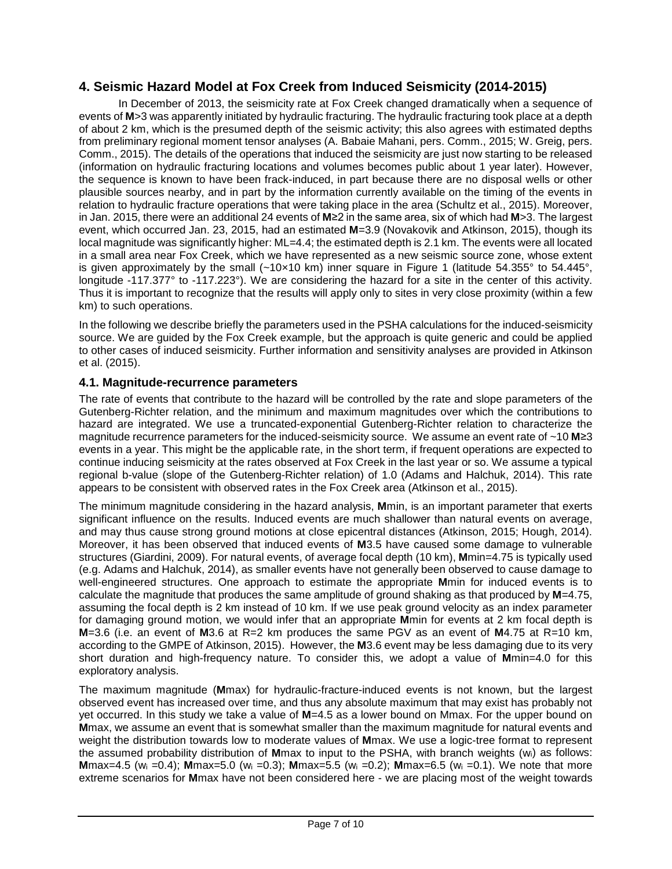## **4. Seismic Hazard Model at Fox Creek from Induced Seismicity (2014-2015)**

In December of 2013, the seismicity rate at Fox Creek changed dramatically when a sequence of events of **M**>3 was apparently initiated by hydraulic fracturing. The hydraulic fracturing took place at a depth of about 2 km, which is the presumed depth of the seismic activity; this also agrees with estimated depths from preliminary regional moment tensor analyses (A. Babaie Mahani, pers. Comm., 2015; W. Greig, pers. Comm., 2015). The details of the operations that induced the seismicity are just now starting to be released (information on hydraulic fracturing locations and volumes becomes public about 1 year later). However, the sequence is known to have been frack-induced, in part because there are no disposal wells or other plausible sources nearby, and in part by the information currently available on the timing of the events in relation to hydraulic fracture operations that were taking place in the area (Schultz et al., 2015). Moreover, in Jan. 2015, there were an additional 24 events of **M**≥2 in the same area, six of which had **M**>3. The largest event, which occurred Jan. 23, 2015, had an estimated **M**=3.9 (Novakovik and Atkinson, 2015), though its local magnitude was significantly higher: ML=4.4; the estimated depth is 2.1 km. The events were all located in a small area near Fox Creek, which we have represented as a new seismic source zone, whose extent is given approximately by the small  $(-10\times10 \text{ km})$  inner square in Figure 1 (latitude 54.355° to 54.445°, longitude -117.377° to -117.223°). We are considering the hazard for a site in the center of this activity. Thus it is important to recognize that the results will apply only to sites in very close proximity (within a few km) to such operations.

In the following we describe briefly the parameters used in the PSHA calculations for the induced-seismicity source. We are guided by the Fox Creek example, but the approach is quite generic and could be applied to other cases of induced seismicity. Further information and sensitivity analyses are provided in Atkinson et al. (2015).

### **4.1. Magnitude-recurrence parameters**

The rate of events that contribute to the hazard will be controlled by the rate and slope parameters of the Gutenberg-Richter relation, and the minimum and maximum magnitudes over which the contributions to hazard are integrated. We use a truncated-exponential Gutenberg-Richter relation to characterize the magnitude recurrence parameters for the induced-seismicity source. We assume an event rate of ~10 **M**≥3 events in a year. This might be the applicable rate, in the short term, if frequent operations are expected to continue inducing seismicity at the rates observed at Fox Creek in the last year or so. We assume a typical regional b-value (slope of the Gutenberg-Richter relation) of 1.0 (Adams and Halchuk, 2014). This rate appears to be consistent with observed rates in the Fox Creek area (Atkinson et al., 2015).

The minimum magnitude considering in the hazard analysis, **M**min, is an important parameter that exerts significant influence on the results. Induced events are much shallower than natural events on average, and may thus cause strong ground motions at close epicentral distances (Atkinson, 2015; Hough, 2014). Moreover, it has been observed that induced events of **M**3.5 have caused some damage to vulnerable structures (Giardini, 2009). For natural events, of average focal depth (10 km), **M**min=4.75 is typically used (e.g. Adams and Halchuk, 2014), as smaller events have not generally been observed to cause damage to well-engineered structures. One approach to estimate the appropriate **M**min for induced events is to calculate the magnitude that produces the same amplitude of ground shaking as that produced by **M**=4.75, assuming the focal depth is 2 km instead of 10 km. If we use peak ground velocity as an index parameter for damaging ground motion, we would infer that an appropriate **M**min for events at 2 km focal depth is **M**=3.6 (i.e. an event of **M**3.6 at R=2 km produces the same PGV as an event of **M**4.75 at R=10 km, according to the GMPE of Atkinson, 2015). However, the **M**3.6 event may be less damaging due to its very short duration and high-frequency nature. To consider this, we adopt a value of **M**min=4.0 for this exploratory analysis.

The maximum magnitude (**M**max) for hydraulic-fracture-induced events is not known, but the largest observed event has increased over time, and thus any absolute maximum that may exist has probably not yet occurred. In this study we take a value of **M**=4.5 as a lower bound on Mmax. For the upper bound on **M**max, we assume an event that is somewhat smaller than the maximum magnitude for natural events and weight the distribution towards low to moderate values of **M**max. We use a logic-tree format to represent the assumed probability distribution of **M**max to input to the PSHA, with branch weights (wi) as follows: **M**max=4.5 (w<sub>i</sub> =0.4); **M**max=5.0 (w<sub>i</sub> =0.3); **M**max=5.5 (w<sub>i</sub> =0.2); **M**max=6.5 (w<sub>i</sub> =0.1). We note that more extreme scenarios for **M**max have not been considered here - we are placing most of the weight towards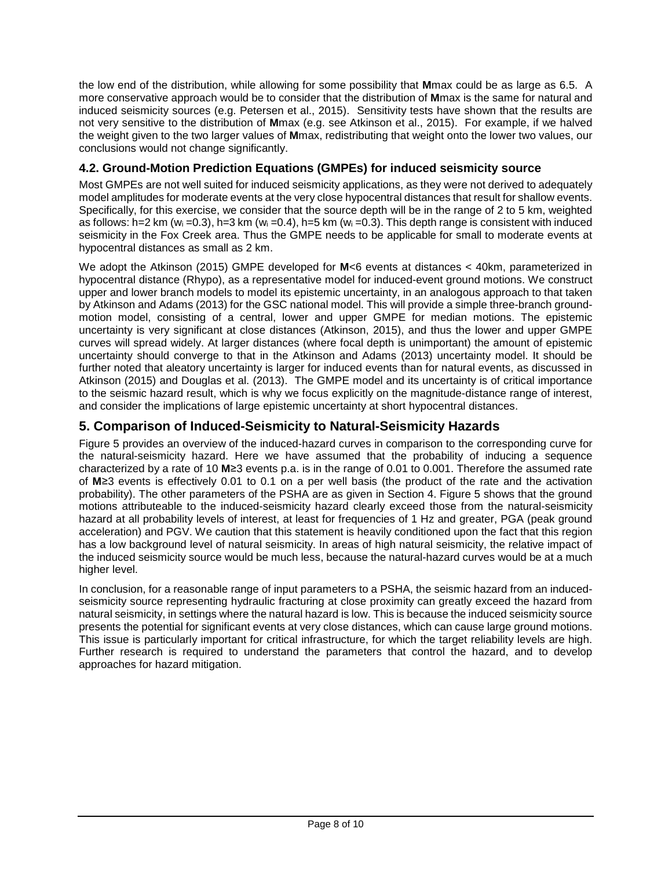the low end of the distribution, while allowing for some possibility that **M**max could be as large as 6.5. A more conservative approach would be to consider that the distribution of **M**max is the same for natural and induced seismicity sources (e.g. Petersen et al., 2015). Sensitivity tests have shown that the results are not very sensitive to the distribution of **M**max (e.g. see Atkinson et al., 2015). For example, if we halved the weight given to the two larger values of **M**max, redistributing that weight onto the lower two values, our conclusions would not change significantly.

## **4.2. Ground-Motion Prediction Equations (GMPEs) for induced seismicity source**

Most GMPEs are not well suited for induced seismicity applications, as they were not derived to adequately model amplitudes for moderate events at the very close hypocentral distances that result for shallow events. Specifically, for this exercise, we consider that the source depth will be in the range of 2 to 5 km, weighted as follows: h=2 km (w<sub>i</sub> =0.3), h=3 km (w<sub>i</sub> =0.4), h=5 km (w<sub>i</sub> =0.3). This depth range is consistent with induced seismicity in the Fox Creek area. Thus the GMPE needs to be applicable for small to moderate events at hypocentral distances as small as 2 km.

We adopt the Atkinson (2015) GMPE developed for **M**<6 events at distances < 40km, parameterized in hypocentral distance (Rhypo), as a representative model for induced-event ground motions. We construct upper and lower branch models to model its epistemic uncertainty, in an analogous approach to that taken by Atkinson and Adams (2013) for the GSC national model. This will provide a simple three-branch groundmotion model, consisting of a central, lower and upper GMPE for median motions. The epistemic uncertainty is very significant at close distances (Atkinson, 2015), and thus the lower and upper GMPE curves will spread widely. At larger distances (where focal depth is unimportant) the amount of epistemic uncertainty should converge to that in the Atkinson and Adams (2013) uncertainty model. It should be further noted that aleatory uncertainty is larger for induced events than for natural events, as discussed in Atkinson (2015) and Douglas et al. (2013). The GMPE model and its uncertainty is of critical importance to the seismic hazard result, which is why we focus explicitly on the magnitude-distance range of interest, and consider the implications of large epistemic uncertainty at short hypocentral distances.

## **5. Comparison of Induced-Seismicity to Natural-Seismicity Hazards**

Figure 5 provides an overview of the induced-hazard curves in comparison to the corresponding curve for the natural-seismicity hazard. Here we have assumed that the probability of inducing a sequence characterized by a rate of 10 **M**≥3 events p.a. is in the range of 0.01 to 0.001. Therefore the assumed rate of **M**≥3 events is effectively 0.01 to 0.1 on a per well basis (the product of the rate and the activation probability). The other parameters of the PSHA are as given in Section 4. Figure 5 shows that the ground motions attributeable to the induced-seismicity hazard clearly exceed those from the natural-seismicity hazard at all probability levels of interest, at least for frequencies of 1 Hz and greater, PGA (peak ground acceleration) and PGV. We caution that this statement is heavily conditioned upon the fact that this region has a low background level of natural seismicity. In areas of high natural seismicity, the relative impact of the induced seismicity source would be much less, because the natural-hazard curves would be at a much higher level.

In conclusion, for a reasonable range of input parameters to a PSHA, the seismic hazard from an inducedseismicity source representing hydraulic fracturing at close proximity can greatly exceed the hazard from natural seismicity, in settings where the natural hazard is low. This is because the induced seismicity source presents the potential for significant events at very close distances, which can cause large ground motions. This issue is particularly important for critical infrastructure, for which the target reliability levels are high. Further research is required to understand the parameters that control the hazard, and to develop approaches for hazard mitigation.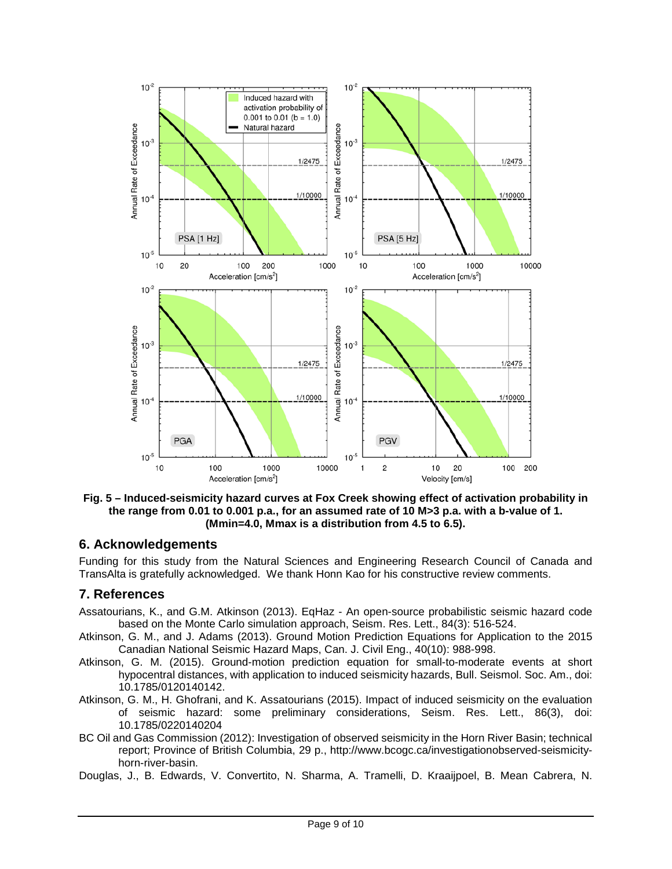

**Fig. 5 – Induced-seismicity hazard curves at Fox Creek showing effect of activation probability in the range from 0.01 to 0.001 p.a., for an assumed rate of 10 M>3 p.a. with a b-value of 1. (Mmin=4.0, Mmax is a distribution from 4.5 to 6.5).**

### **6. Acknowledgements**

Funding for this study from the Natural Sciences and Engineering Research Council of Canada and TransAlta is gratefully acknowledged. We thank Honn Kao for his constructive review comments.

### **7. References**

- Assatourians, K., and G.M. Atkinson (2013). EqHaz An open-source probabilistic seismic hazard code based on the Monte Carlo simulation approach, Seism. Res. Lett., 84(3): 516-524.
- Atkinson, G. M., and J. Adams (2013). Ground Motion Prediction Equations for Application to the 2015 Canadian National Seismic Hazard Maps, Can. J. Civil Eng., 40(10): 988-998.
- Atkinson, G. M. (2015). Ground-motion prediction equation for small-to-moderate events at short hypocentral distances, with application to induced seismicity hazards, Bull. Seismol. Soc. Am., doi: 10.1785/0120140142.
- Atkinson, G. M., H. Ghofrani, and K. Assatourians (2015). Impact of induced seismicity on the evaluation of seismic hazard: some preliminary considerations, Seism. Res. Lett., 86(3), doi: 10.1785/0220140204
- BC Oil and Gas Commission (2012): Investigation of observed seismicity in the Horn River Basin; technical report; Province of British Columbia, 29 p., http://www.bcogc.ca/investigationobserved-seismicityhorn-river-basin.
- Douglas, J., B. Edwards, V. Convertito, N. Sharma, A. Tramelli, D. Kraaijpoel, B. Mean Cabrera, N.